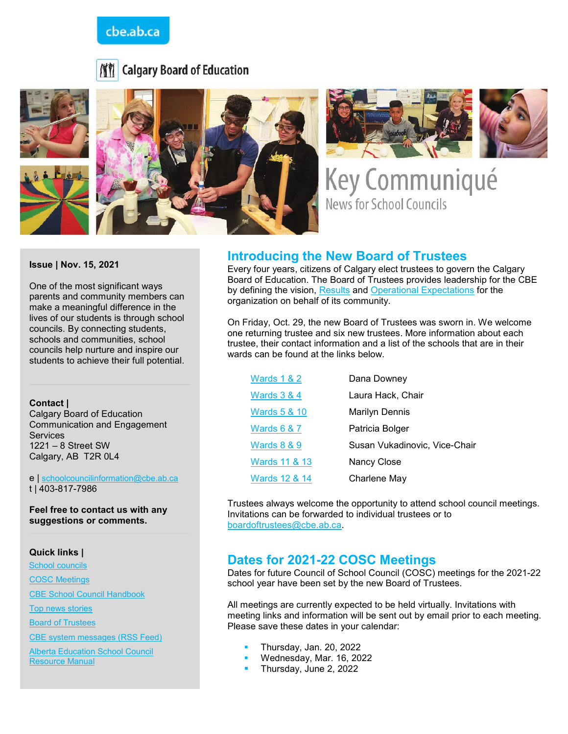## cbe.ab.ca







Key Communiqué **News for School Councils** 

**Issue | Nov. 15, 2021** 

One of the most significant ways parents and community members can make a meaningful difference in the lives of our students is through school councils. By connecting students, schools and communities, school councils help nurture and inspire our students to achieve their full potential.

#### **Contact |**

Calgary Board of Education Communication and Engagement **Services** 1221 – 8 Street SW Calgary, AB T2R 0L4

e | [schoolcouncilinformation@cbe.ab.ca](mailto:schoolcouncilinformation@cbe.ab.ca) t | 403-817-7986

**Feel free to contact us with any suggestions or comments.**

#### **Quick links |**

[School councils](http://www.cbe.ab.ca/get-involved/school-councils/Pages/school-councils.aspx)

[COSC Meetings](http://www.cbe.ab.ca/get-involved/school-councils/Pages/meetings.aspx)

[CBE School Council Handbook](http://cbe.ab.ca/FormsManuals/School-Council-Handbook.pdf)

[Top news stories](http://cbe.ab.ca/Pages/default.aspx)

**[Board of Trustees](http://cbe.ab.ca/about-us/board-of-trustees/Pages/default.aspx)** 

[CBE system messages \(RSS Feed\)](http://cbe.ab.ca/news-centre/rss/Pages/default.aspx)

[Alberta Education School Council](https://education.alberta.ca/media/3273179/school-council-resource-guide-2016-final.pdf)  [Resource Manual](https://education.alberta.ca/media/3273179/school-council-resource-guide-2016-final.pdf)

#### **Introducing the New Board of Trustees**

Every four years, citizens of Calgary elect trustees to govern the Calgary Board of Education. The Board of Trustees provides leadership for the CBE by defining the vision, [Results](https://cbe.ab.ca/about-us/policies-and-regulations/Pages/Results-Policies.aspx) and [Operational Expectations](https://cbe.ab.ca/about-us/policies-and-regulations/Pages/Governance-Policies.aspx) for the organization on behalf of its community.

On Friday, Oct. 29, the new Board of Trustees was sworn in. We welcome one returning trustee and six new trustees. More information about each trustee, their contact information and a list of the schools that are in their wards can be found at the links below.

| <b>Wards 1 &amp; 2</b>  | Dana Downey                   |
|-------------------------|-------------------------------|
| <b>Wards 3 &amp; 4</b>  | Laura Hack, Chair             |
| <b>Wards 5 &amp; 10</b> | <b>Marilyn Dennis</b>         |
| <b>Wards 6 &amp; 7</b>  | Patricia Bolger               |
| <b>Wards 8 &amp; 9</b>  | Susan Vukadinovic, Vice-Chair |
| Wards 11 & 13           | Nancy Close                   |
| Wards 12 & 14           | Charlene May                  |

Trustees always welcome the opportunity to attend school council meetings. Invitations can be forwarded to individual trustees or to [boardoftrustees@cbe.ab.ca.](mailto:boardoftrustees@cbe.ab.ca)

#### **Dates for 2021-22 COSC Meetings**

Dates for future Council of School Council (COSC) meetings for the 2021-22 school year have been set by the new Board of Trustees.

All meetings are currently expected to be held virtually. Invitations with meeting links and information will be sent out by email prior to each meeting. Please save these dates in your calendar:

- Thursday, Jan. 20, 2022
- Wednesday, Mar. 16, 2022
- Thursday, June 2, 2022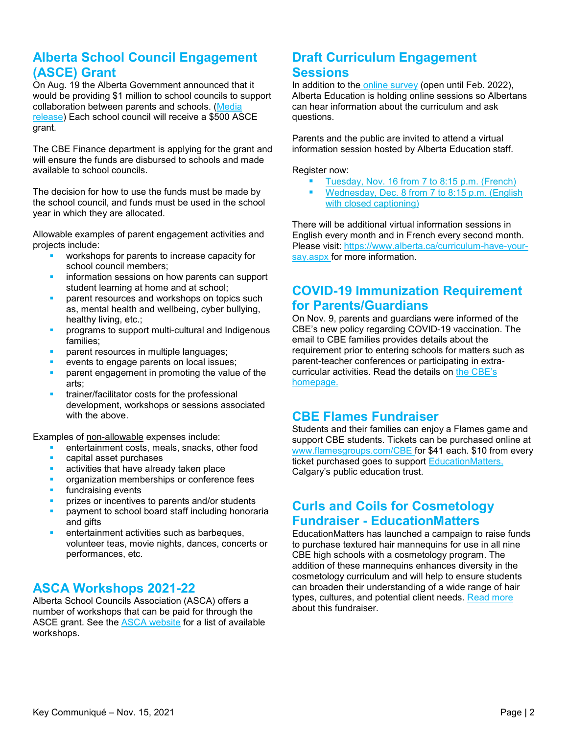## **Alberta School Council Engagement (ASCE) Grant**

On Aug. 19 the Alberta Government announced that it would be providing \$1 million to school councils to support collaboration between parents and schools. [\(Media](https://www.alberta.ca/release.cfm?xID=79718C360FF5C-9CC8-6A88-2EB588F37789D736) [release\)](https://www.alberta.ca/release.cfm?xID=79718C360FF5C-9CC8-6A88-2EB588F37789D736) Each school council will receive a \$500 ASCE grant.

The CBE Finance department is applying for the grant and will ensure the funds are disbursed to schools and made available to school councils.

The decision for how to use the funds must be made by the school council, and funds must be used in the school year in which they are allocated.

Allowable examples of parent engagement activities and projects include:

- workshops for parents to increase capacity for school council members;
- information sessions on how parents can support student learning at home and at school;
- parent resources and workshops on topics such as, mental health and wellbeing, cyber bullying, healthy living, etc.;
- programs to support multi-cultural and Indigenous families;
- parent resources in multiple languages;
- events to engage parents on local issues;
- parent engagement in promoting the value of the arts;
- trainer/facilitator costs for the professional development, workshops or sessions associated with the above.

Examples of non-allowable expenses include:

- entertainment costs, meals, snacks, other food
- capital asset purchases
- activities that have already taken place
- organization memberships or conference fees
- fundraising events
- prizes or incentives to parents and/or students
- payment to school board staff including honoraria and gifts
- entertainment activities such as barbeques, volunteer teas, movie nights, dances, concerts or performances, etc.

### **ASCA Workshops 2021-22**

Alberta School Councils Association (ASCA) offers a number of workshops that can be paid for through the ASCE grant. See the **ASCA** website for a list of available workshops.

# **Draft Curriculum Engagement Sessions**

In addition to the [online survey](https://www.alberta.ca/curriculum-have-your-say.aspx) (open until Feb. 2022), Alberta Education is holding online sessions so Albertans can hear information about the curriculum and ask questions.

Parents and the public are invited to attend a virtual information session hosted by Alberta Education staff.

Register now:

- [Tuesday, Nov. 16 from 7 to 8:15 p.m. \(French\)](https://us02web.zoom.us/webinar/register/WN_NCsUOcGFShqdodniNZ2pzg)
- [Wednesday, Dec. 8 from 7 to 8:15 p.m. \(English](https://us02web.zoom.us/webinar/register/WN_jJfGY_zxQpu8Uojy6ge-AQ)  [with closed captioning\)](https://us02web.zoom.us/webinar/register/WN_jJfGY_zxQpu8Uojy6ge-AQ)

There will be additional virtual information sessions in English every month and in French every second month. Please visit: [https://www.alberta.ca/curriculum-have-your](https://www.alberta.ca/curriculum-have-your-say.aspx)[say.aspx](https://www.alberta.ca/curriculum-have-your-say.aspx) for more information.

## **COVID-19 Immunization Requirement for Parents/Guardians**

On Nov. 9, parents and guardians were informed of the CBE's new policy regarding COVID-19 vaccination. The email to CBE families provides details about the requirement prior to entering schools for matters such as parent-teacher conferences or participating in extracurricular activities. Read the details on [the CBE's](https://www.cbe.ab.ca/news-centre/Pages/2021-22-update-for-families-november-9-2021.aspx)  [homepage.](https://www.cbe.ab.ca/news-centre/Pages/2021-22-update-for-families-november-9-2021.aspx)

### **CBE Flames Fundraiser**

Students and their families can enjoy a Flames game and support CBE students. Tickets can be purchased online at [www.flamesgroups.com/CBE](http://www.flamesgroups.com/CBE) for \$41 each. \$10 from every ticket purchased goes to support [EducationMatters,](https://www.educationmatters.ca/) Calgary's public education trust.

## **[Curls and Coils for Cosmetology](https://www.educationmatters.ca/campaign/curls-and-coils-for-cosmetology/)  Fundraiser - [EducationMatters](https://www.educationmatters.ca/campaign/curls-and-coils-for-cosmetology/)**

EducationMatters has launched a campaign to raise funds to purchase textured hair mannequins for use in all nine CBE high schools with a cosmetology program. The addition of these mannequins enhances diversity in the cosmetology curriculum and will help to ensure students can broaden their understanding of a wide range of hair types, cultures, and potential client needs. [Read more](https://www.educationmatters.ca/campaign/curls-and-coils-for-cosmetology/) about this fundraiser.